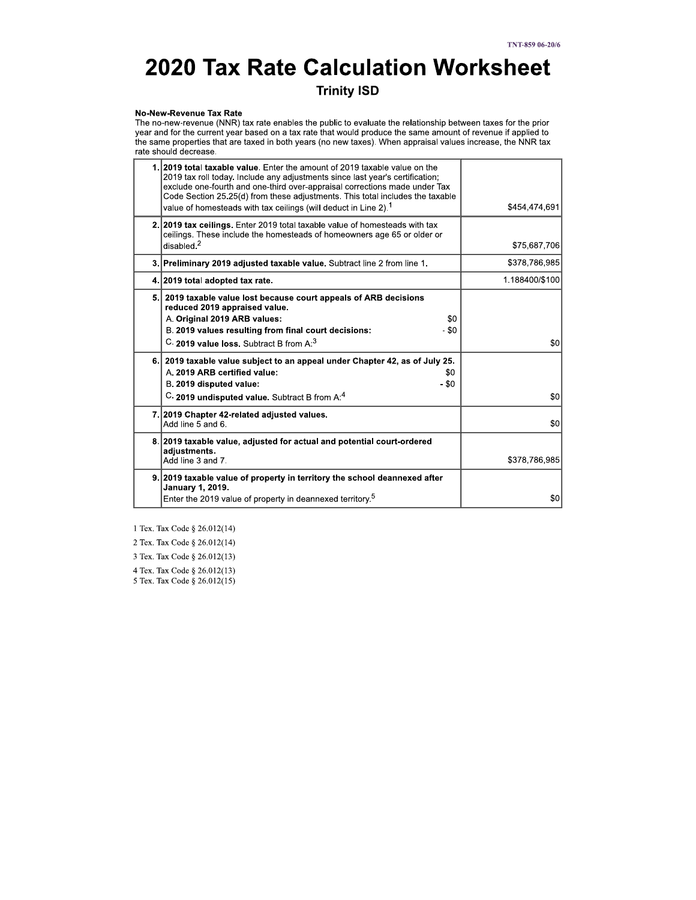# **2020 Tax Rate Calculation Worksheet**

**Trinity ISD** 

#### No-New-Revenue Tax Rate

The no-new-revenue (NNR) tax rate enables the public to evaluate the relationship between taxes for the prior The intervention and for the current year based on a tax rate that would produce the same amount of revenue if applied to<br>the same properties that are taxed in both years (no new taxes). When appraisal values increase, the

| 1. 2019 total taxable value. Enter the amount of 2019 taxable value on the<br>2019 tax roll today. Include any adjustments since last year's certification;<br>exclude one-fourth and one-third over-appraisal corrections made under Tax<br>Code Section 25.25(d) from these adjustments. This total includes the taxable<br>value of homesteads with tax ceilings (will deduct in Line 2). <sup>1</sup> | \$454,474,691  |
|-----------------------------------------------------------------------------------------------------------------------------------------------------------------------------------------------------------------------------------------------------------------------------------------------------------------------------------------------------------------------------------------------------------|----------------|
| 2. 2019 tax ceilings. Enter 2019 total taxable value of homesteads with tax<br>ceilings. These include the homesteads of homeowners age 65 or older or<br>disabeled <sup>2</sup>                                                                                                                                                                                                                          | \$75,687,706   |
| 3. Preliminary 2019 adjusted taxable value. Subtract line 2 from line 1.                                                                                                                                                                                                                                                                                                                                  | \$378,786,985  |
| 4. 2019 total adopted tax rate.                                                                                                                                                                                                                                                                                                                                                                           | 1.188400/\$100 |
| 5. 2019 taxable value lost because court appeals of ARB decisions<br>reduced 2019 appraised value.<br>A. Original 2019 ARB values:<br>\$0<br>- \$0<br>B. 2019 values resulting from final court decisions:<br>C. 2019 value loss. Subtract B from A: <sup>3</sup>                                                                                                                                         | \$0            |
| 6. 2019 taxable value subject to an appeal under Chapter 42, as of July 25.<br>A. 2019 ARB certified value:<br>\$0<br>B. 2019 disputed value:<br>- \$0<br>C. 2019 undisputed value. Subtract B from A: <sup>4</sup>                                                                                                                                                                                       | \$0            |
| 7. 2019 Chapter 42-related adjusted values.<br>Add line 5 and 6.                                                                                                                                                                                                                                                                                                                                          | \$0            |
| 8. 2019 taxable value, adjusted for actual and potential court-ordered<br>adjustments.<br>Add line 3 and 7.                                                                                                                                                                                                                                                                                               | \$378,786,985  |
| 9. 2019 taxable value of property in territory the school deannexed after<br>January 1, 2019.<br>Enter the 2019 value of property in deannexed territory. <sup>5</sup>                                                                                                                                                                                                                                    | \$0            |

1 Tex. Tax Code § 26.012(14)

2 Tex. Tax Code § 26.012(14)

3 Tex. Tax Code § 26.012(13)

4 Tex. Tax Code § 26.012(13)

 $5$  Tex. Tax Code  $\S~26.012(15)$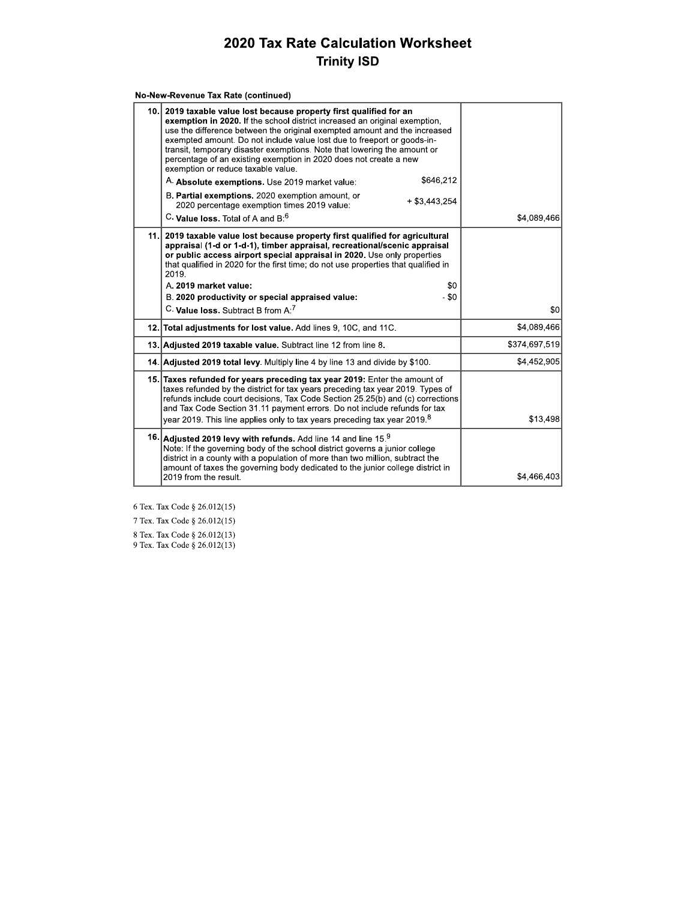| No-New-Revenue Tax Rate (continued) |
|-------------------------------------|
|-------------------------------------|

| 10.1 | 2019 taxable value lost because property first qualified for an<br>exemption in 2020. If the school district increased an original exemption.<br>use the difference between the original exempted amount and the increased<br>exempted amount. Do not include value lost due to freeport or goods-in-<br>transit, temporary disaster exemptions. Note that lowering the amount or<br>percentage of an existing exemption in 2020 does not create a new<br>exemption or reduce taxable value. |               |
|------|----------------------------------------------------------------------------------------------------------------------------------------------------------------------------------------------------------------------------------------------------------------------------------------------------------------------------------------------------------------------------------------------------------------------------------------------------------------------------------------------|---------------|
|      | \$646,212<br>A. Absolute exemptions. Use 2019 market value:                                                                                                                                                                                                                                                                                                                                                                                                                                  |               |
|      | B. Partial exemptions. 2020 exemption amount, or<br>$+$ \$3.443.254<br>2020 percentage exemption times 2019 value:                                                                                                                                                                                                                                                                                                                                                                           |               |
|      | C. Value loss. Total of A and B: <sup>6</sup>                                                                                                                                                                                                                                                                                                                                                                                                                                                | \$4,089,466   |
| 11.1 | 2019 taxable value lost because property first qualified for agricultural<br>appraisal (1-d or 1-d-1), timber appraisal, recreational/scenic appraisal<br>or public access airport special appraisal in 2020. Use only properties<br>that qualified in 2020 for the first time; do not use properties that qualified in<br>2019.<br>A. 2019 market value:<br>\$0                                                                                                                             |               |
|      | $-$ \$0<br>B. 2020 productivity or special appraised value:                                                                                                                                                                                                                                                                                                                                                                                                                                  |               |
|      | C. Value loss. Subtract B from A. <sup>7</sup>                                                                                                                                                                                                                                                                                                                                                                                                                                               | \$0           |
|      | 12. Total adjustments for lost value. Add lines 9, 10C, and 11C.                                                                                                                                                                                                                                                                                                                                                                                                                             | \$4,089,466   |
|      | 13. Adjusted 2019 taxable value. Subtract line 12 from line 8.                                                                                                                                                                                                                                                                                                                                                                                                                               | \$374,697,519 |
|      | 14. Adjusted 2019 total levy. Multiply line 4 by line 13 and divide by \$100.                                                                                                                                                                                                                                                                                                                                                                                                                | \$4,452,905   |
|      | 15. Taxes refunded for years preceding tax year 2019: Enter the amount of<br>taxes refunded by the district for tax years preceding tax year 2019. Types of<br>refunds include court decisions. Tax Code Section 25.25(b) and (c) corrections<br>and Tax Code Section 31.11 payment errors. Do not include refunds for tax<br>year 2019. This line applies only to tax years preceding tax year 2019. $^8$                                                                                   | \$13,498      |
|      | 16. Adjusted 2019 levy with refunds. Add line 14 and line $159$<br>Note: If the governing body of the school district governs a junior college<br>district in a county with a population of more than two million, subtract the<br>amount of taxes the governing body dedicated to the junior college district in<br>2019 from the result.                                                                                                                                                   | \$4,466,403   |
|      |                                                                                                                                                                                                                                                                                                                                                                                                                                                                                              |               |

6 Tex. Tax Code § 26.012(15)

7 Tex. Tax Code  $\S$  26.012(15) 8 Tex. Tax Code § 26.012(13)<br>9 Tex. Tax Code § 26.012(13)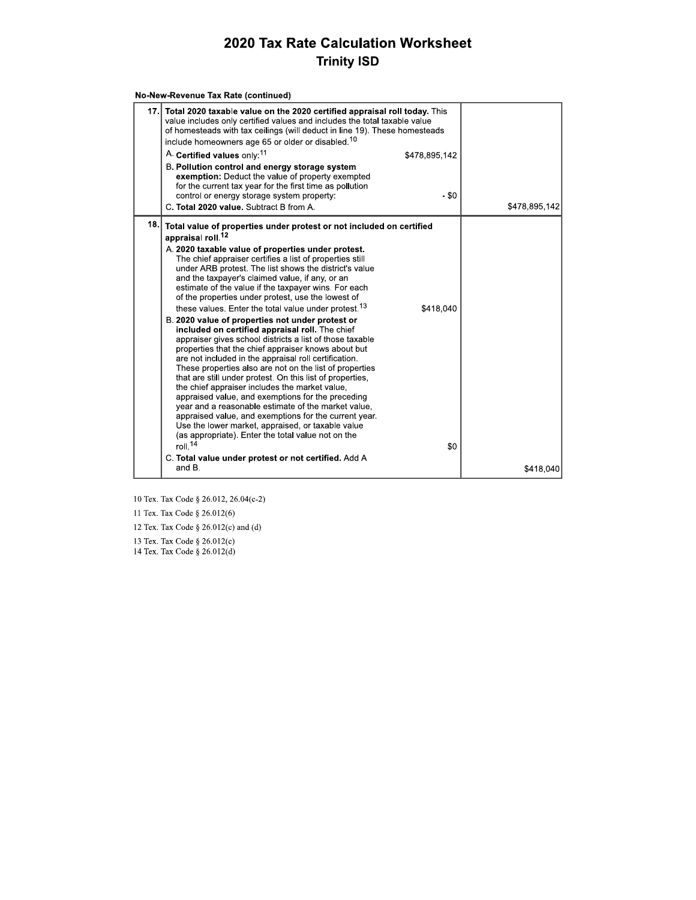|      | No-New-Revenue Tax Rate (continued)                                                                                                                                                                                                                                                                                                                                                                                                                                                                                                                                                                                                              |               |               |
|------|--------------------------------------------------------------------------------------------------------------------------------------------------------------------------------------------------------------------------------------------------------------------------------------------------------------------------------------------------------------------------------------------------------------------------------------------------------------------------------------------------------------------------------------------------------------------------------------------------------------------------------------------------|---------------|---------------|
|      | 17. Total 2020 taxable value on the 2020 certified appraisal roll today. This<br>value includes only certified values and includes the total taxable value<br>of homesteads with tax ceilings (will deduct in line 19). These homesteads<br>include homeowners age 65 or older or disabled. <sup>10</sup>                                                                                                                                                                                                                                                                                                                                        |               |               |
|      | A. Certified values only: <sup>11</sup>                                                                                                                                                                                                                                                                                                                                                                                                                                                                                                                                                                                                          | \$478,895,142 |               |
|      | B. Pollution control and energy storage system<br>exemption: Deduct the value of property exempted<br>for the current tax year for the first time as pollution<br>control or energy storage system property:<br>C. Total 2020 value. Subtract B from A.                                                                                                                                                                                                                                                                                                                                                                                          | - \$0         | \$478,895,142 |
| 18.1 | Total value of properties under protest or not included on certified                                                                                                                                                                                                                                                                                                                                                                                                                                                                                                                                                                             |               |               |
|      | appraisal roll. <sup>12</sup>                                                                                                                                                                                                                                                                                                                                                                                                                                                                                                                                                                                                                    |               |               |
|      | A. 2020 taxable value of properties under protest.<br>The chief appraiser certifies a list of properties still<br>under ARB protest. The list shows the district's value<br>and the taxpayer's claimed value, if any, or an<br>estimate of the value if the taxpayer wins. For each<br>of the properties under protest, use the lowest of<br>these values. Enter the total value under protest. <sup>13</sup><br>B. 2020 value of properties not under protest or<br>included on certified appraisal roll. The chief                                                                                                                             | \$418,040     |               |
|      | appraiser gives school districts a list of those taxable<br>properties that the chief appraiser knows about but<br>are not included in the appraisal roll certification.<br>These properties also are not on the list of properties<br>that are still under protest. On this list of properties,<br>the chief appraiser includes the market value,<br>appraised value, and exemptions for the preceding<br>year and a reasonable estimate of the market value,<br>appraised value, and exemptions for the current year.<br>Use the lower market, appraised, or taxable value<br>(as appropriate). Enter the total value not on the<br>roll. $14$ | \$0           |               |
|      | C. Total value under protest or not certified. Add A                                                                                                                                                                                                                                                                                                                                                                                                                                                                                                                                                                                             |               |               |
|      | and B.                                                                                                                                                                                                                                                                                                                                                                                                                                                                                                                                                                                                                                           |               | \$418,040     |

10 Tex. Tax Code § 26.012, 26.04(c-2)

11 Tex. Tax Code § 26.012(6)

12 Tex. Tax Code § 26.012(c) and (d)

13 Tex. Tax Code § 26.012(c)<br>14 Tex. Tax Code § 26.012(d)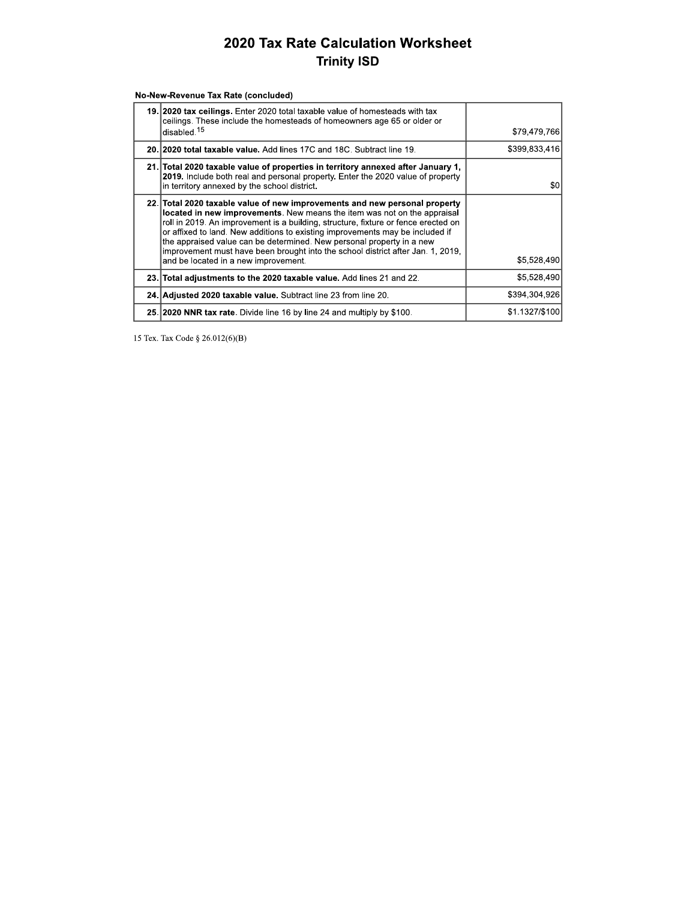No-New-Revenue Tax Rate (concluded)

| 19. 2020 tax ceilings. Enter 2020 total taxable value of homesteads with tax<br>ceilings. These include the homesteads of homeowners age 65 or older or<br>disabled. <sup>15</sup>                                                                                                                                                                                                                                                                                                                                                | \$79.479.766   |
|-----------------------------------------------------------------------------------------------------------------------------------------------------------------------------------------------------------------------------------------------------------------------------------------------------------------------------------------------------------------------------------------------------------------------------------------------------------------------------------------------------------------------------------|----------------|
| 20. 2020 total taxable value. Add lines 17C and 18C. Subtract line 19.                                                                                                                                                                                                                                                                                                                                                                                                                                                            | \$399,833,416  |
| 21. Total 2020 taxable value of properties in territory annexed after January 1,<br>2019. Include both real and personal property. Enter the 2020 value of property<br>in territory annexed by the school district.                                                                                                                                                                                                                                                                                                               | \$0            |
| 22. Total 2020 taxable value of new improvements and new personal property<br>located in new improvements. New means the item was not on the appraisal<br>roll in 2019. An improvement is a building, structure, fixture or fence erected on<br>or affixed to land. New additions to existing improvements may be included if<br>the appraised value can be determined. New personal property in a new<br>improvement must have been brought into the school district after Jan. 1, 2019,<br>and be located in a new improvement. | \$5,528,490    |
| 23. Total adjustments to the 2020 taxable value. Add lines 21 and 22.                                                                                                                                                                                                                                                                                                                                                                                                                                                             | \$5,528,490    |
| 24. Adjusted 2020 taxable value. Subtract line 23 from line 20.                                                                                                                                                                                                                                                                                                                                                                                                                                                                   | \$394.304.926  |
| 25. 2020 NNR tax rate. Divide line 16 by line 24 and multiply by \$100.                                                                                                                                                                                                                                                                                                                                                                                                                                                           | \$1.1327/\$100 |

15 Tex. Tax Code § 26.012(6)(B)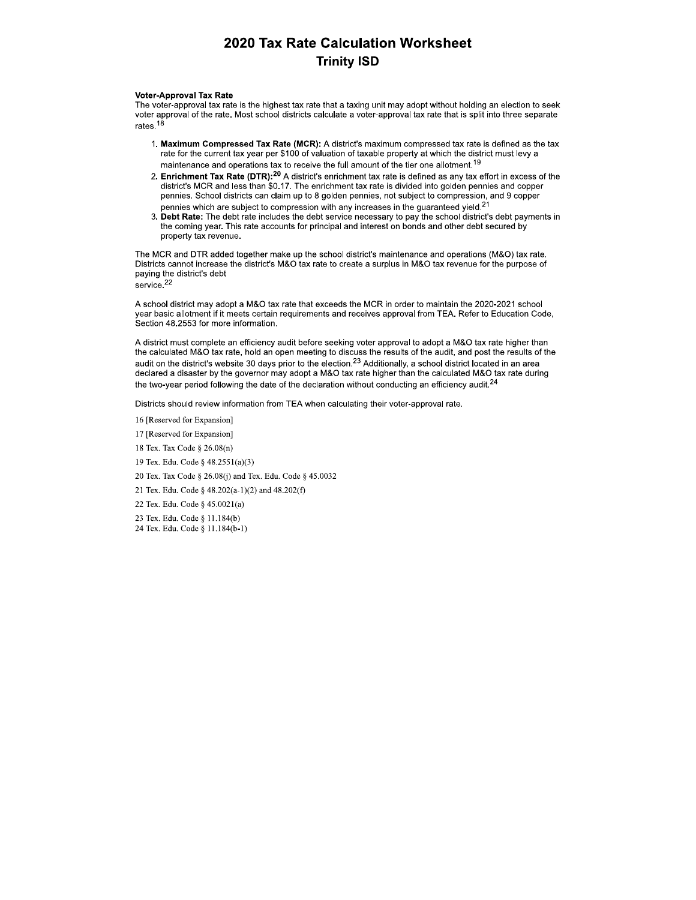#### **Voter-Approval Tax Rate**

The voter-approval tax rate is the highest tax rate that a taxing unit may adopt without holding an election to seek voter approval of the rate. Most school districts calculate a voter-approval tax rate that is split into three separate rates.<sup>18</sup>

- 1. Maximum Compressed Tax Rate (MCR): A district's maximum compressed tax rate is defined as the tax rate for the current tax year per \$100 of valuation of taxable property at which the district must levy a maintenance and operations tax to receive the full amount of the tier one allotment.<sup>19</sup>
- 2. Enrichment Tax Rate (DTR):<sup>20</sup> A district's enrichment tax rate is defined as any tax effort in excess of the district's MCR and less than \$0.17. The enrichment tax rate is divided into golden pennies and copper pennies. School districts can claim up to 8 golden pennies, not subject to compression, and 9 copper pennies which are subject to compression with any increases in the guaranteed yield.<sup>21</sup>
- $\mathbf{R}$ Debt Rate: The debt rate includes the debt service necessary to pay the school district's debt payments in the coming year. This rate accounts for principal and interest on bonds and other debt secured by property tax revenue.

The MCR and DTR added together make up the school district's maintenance and operations (M&O) tax rate. Districts cannot increase the district's M&O tax rate to create a surplus in M&O tax revenue for the purpose of paying the district's debt service.<sup>22</sup>

A school district may adopt a M&O tax rate that exceeds the MCR in order to maintain the 2020-2021 school year basic allotment if it meets certain requirements and receives approval from TEA. Refer to Education Code, Section 48.2553 for more information.

A district must complete an efficiency audit before seeking voter approval to adopt a M&O tax rate higher than the calculated M&O tax rate, hold an open meeting to discuss the results of the audit, and post the results of the audit on the district's website 30 days prior to the election.<sup>23</sup> Additionally, a school district located in an area declared a disaster by the governor may adopt a M&O tax rate higher than the calculated M&O tax rate during the two-year period following the date of the declaration without conducting an efficiency audit. $^{24}$ 

Districts should review information from TEA when calculating their voter-approval rate.

16 [Reserved for Expansion]

- 17 [Reserved for Expansion]
- 18 Tex. Tax Code § 26.08(n)
- 19 Tex. Edu. Code § 48.2551(a)(3)
- 20 Tex. Tax Code § 26.08(j) and Tex. Edu. Code § 45.0032
- 21 Tex. Edu. Code § 48.202(a-1)(2) and 48.202(f)
- 22 Tex. Edu. Code § 45.0021(a)
- 23 Tex. Edu. Code § 11.184(b)
- 24 Tex. Edu. Code § 11.184(b-1)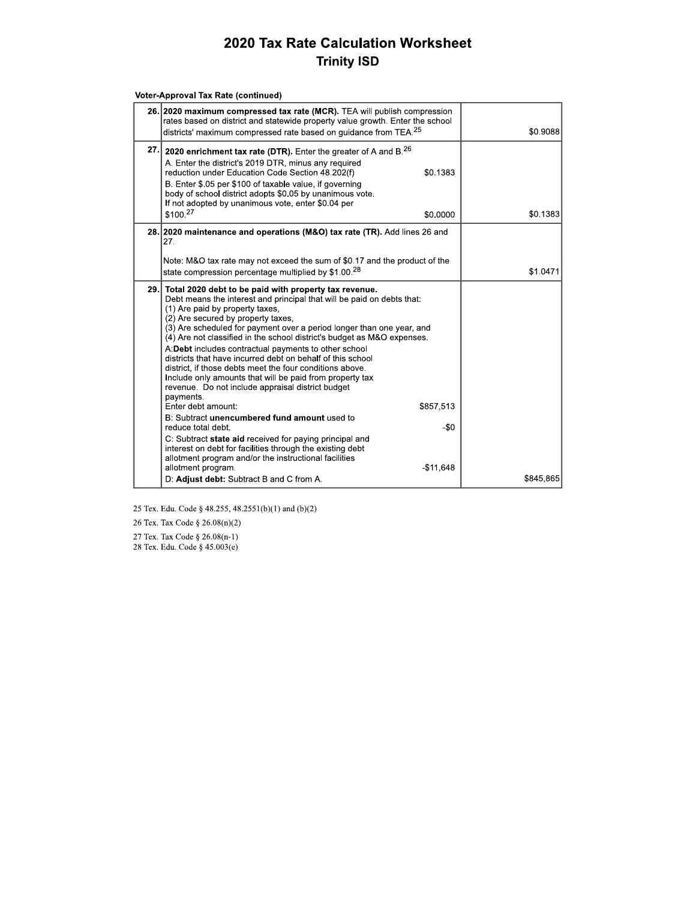|     | <b>Voter-Approval Tax Rate (continued)</b>                                                                                                                                                                                                                                                                                                                                                                                                                                                                                                                                                                                                                                        |           |
|-----|-----------------------------------------------------------------------------------------------------------------------------------------------------------------------------------------------------------------------------------------------------------------------------------------------------------------------------------------------------------------------------------------------------------------------------------------------------------------------------------------------------------------------------------------------------------------------------------------------------------------------------------------------------------------------------------|-----------|
|     | 26. 2020 maximum compressed tax rate (MCR). TEA will publish compression<br>rates based on district and statewide property value growth. Enter the school<br>districts' maximum compressed rate based on guidance from TEA. <sup>25</sup>                                                                                                                                                                                                                                                                                                                                                                                                                                         | \$0.9088  |
| 27. | 2020 enrichment tax rate (DTR). Enter the greater of A and $B^{26}$<br>A. Enter the district's 2019 DTR, minus any required<br>reduction under Education Code Section 48.202(f)<br>\$0.1383<br>B. Enter \$.05 per \$100 of taxable value, if governing<br>body of school district adopts \$0.05 by unanimous vote.<br>If not adopted by unanimous vote, enter \$0.04 per                                                                                                                                                                                                                                                                                                          |           |
|     | \$100. <sup>27</sup><br>\$0.0000                                                                                                                                                                                                                                                                                                                                                                                                                                                                                                                                                                                                                                                  | \$0.1383  |
|     | 28. 2020 maintenance and operations (M&O) tax rate (TR). Add lines 26 and<br>27.<br>Note: M&O tax rate may not exceed the sum of \$0.17 and the product of the<br>state compression percentage multiplied by \$1.00. <sup>28</sup>                                                                                                                                                                                                                                                                                                                                                                                                                                                | \$1.0471  |
|     | 29. Total 2020 debt to be paid with property tax revenue.<br>Debt means the interest and principal that will be paid on debts that:<br>(1) Are paid by property taxes,<br>(2) Are secured by property taxes,<br>(3) Are scheduled for payment over a period longer than one year, and<br>(4) Are not classified in the school district's budget as M&O expenses.<br>A: Debt includes contractual payments to other school<br>districts that have incurred debt on behalf of this school<br>district, if those debts meet the four conditions above.<br>Include only amounts that will be paid from property tax<br>revenue. Do not include appraisal district budget<br>payments. |           |
|     | Enter debt amount:<br>\$857,513<br>B: Subtract unencumbered fund amount used to<br>reduce total debt.                                                                                                                                                                                                                                                                                                                                                                                                                                                                                                                                                                             | -\$0      |
|     | C: Subtract state aid received for paying principal and<br>interest on debt for facilities through the existing debt<br>allotment program and/or the instructional facilities<br>allotment program.<br>$-$11,648$                                                                                                                                                                                                                                                                                                                                                                                                                                                                 |           |
|     | D: Adjust debt: Subtract B and C from A.                                                                                                                                                                                                                                                                                                                                                                                                                                                                                                                                                                                                                                          | \$845,865 |

25 Tex. Edu. Code § 48.255, 48.2551(b)(1) and (b)(2)

26 Tex. Tax Code  $\S 26.08(n)(2)$ 27 Tex. Tax Code § 26.08(n-1)

28 Tex. Edu. Code § 45.003(e)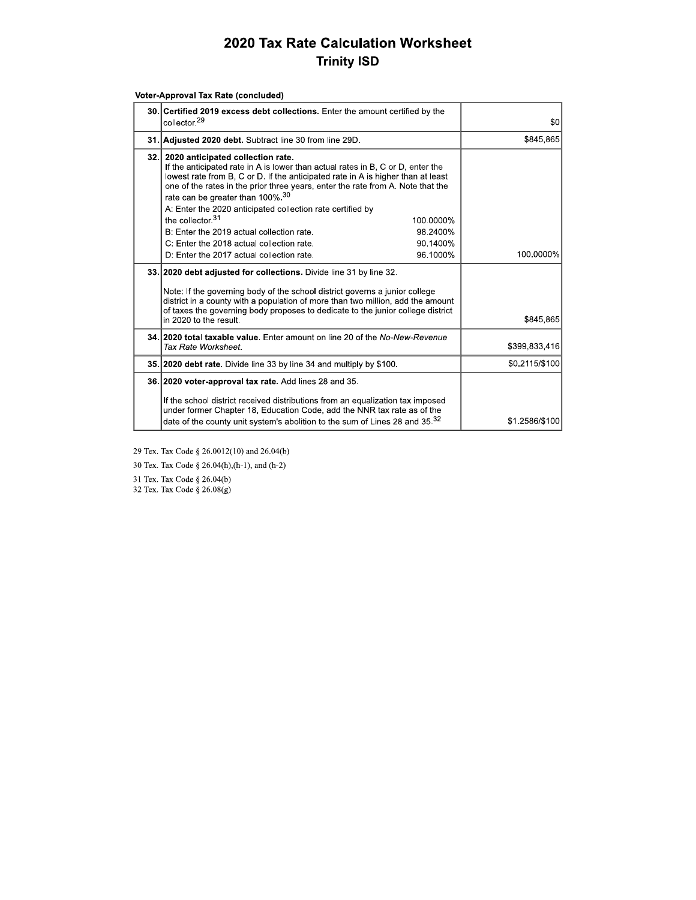| Voter-Approval Tax Rate (concluded) |  |
|-------------------------------------|--|
|                                     |  |

| 30. Certified 2019 excess debt collections. Enter the amount certified by the<br>collector. <sup>29</sup>                                                                                                                                                                                                                                                                                                                                                                                                                                                           | \$0            |
|---------------------------------------------------------------------------------------------------------------------------------------------------------------------------------------------------------------------------------------------------------------------------------------------------------------------------------------------------------------------------------------------------------------------------------------------------------------------------------------------------------------------------------------------------------------------|----------------|
| 31. Adjusted 2020 debt. Subtract line 30 from line 29D.                                                                                                                                                                                                                                                                                                                                                                                                                                                                                                             | \$845,865      |
| 32. 2020 anticipated collection rate.<br>If the anticipated rate in A is lower than actual rates in B, C or D, enter the<br>lowest rate from B, C or D. If the anticipated rate in A is higher than at least<br>one of the rates in the prior three years, enter the rate from A. Note that the<br>rate can be greater than 100%. <sup>30</sup><br>A: Enter the 2020 anticipated collection rate certified by<br>the collector. $31$<br>100.0000%<br>B: Enter the 2019 actual collection rate.<br>98.2400%<br>C: Enter the 2018 actual collection rate.<br>90.1400% |                |
| 96.1000%<br>D: Enter the 2017 actual collection rate.                                                                                                                                                                                                                                                                                                                                                                                                                                                                                                               | 100.0000%      |
| 33. 2020 debt adjusted for collections. Divide line 31 by line 32.<br>Note. If the governing body of the school district governs a junior college<br>district in a county with a population of more than two million, add the amount<br>of taxes the governing body proposes to dedicate to the junior college district<br>in 2020 to the result.                                                                                                                                                                                                                   | \$845,865      |
| 34. 2020 total taxable value. Enter amount on line 20 of the No-New-Revenue<br>Tax Rate Worksheet.                                                                                                                                                                                                                                                                                                                                                                                                                                                                  | \$399,833,416  |
| 35. 2020 debt rate. Divide line 33 by line 34 and multiply by \$100.                                                                                                                                                                                                                                                                                                                                                                                                                                                                                                | \$0.2115/\$100 |
| 36. 2020 voter-approval tax rate. Add lines 28 and 35.<br>If the school district received distributions from an equalization tax imposed<br>under former Chapter 18, Education Code, add the NNR tax rate as of the<br>date of the county unit system's abolition to the sum of Lines 28 and 35. <sup>32</sup>                                                                                                                                                                                                                                                      | \$1.2586/\$100 |

29 Tex. Tax Code § 26.0012(10) and 26.04(b)

30 Tex. Tax Code § 26.04(h),(h-1), and (h-2)

31 Tex. Tax Code § 26.04(b)

32 Tex. Tax Code § 26.08(g)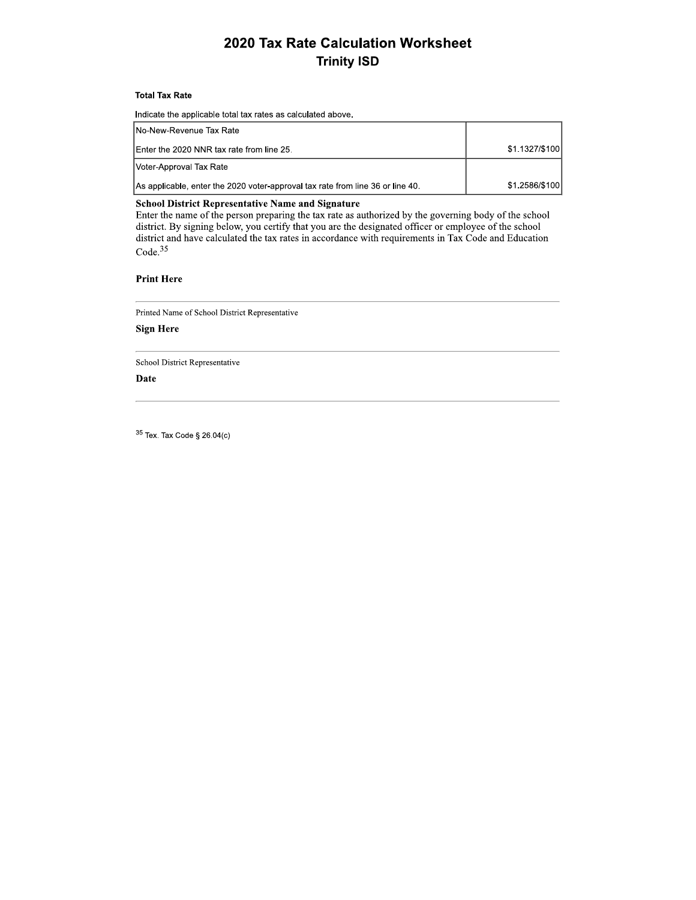### Total Tax R

| 2020 Tax Rate Calculation Worksheet<br><b>Trinity ISD</b>                                                                                                                                                                                                                                                                                                                                                |                |
|----------------------------------------------------------------------------------------------------------------------------------------------------------------------------------------------------------------------------------------------------------------------------------------------------------------------------------------------------------------------------------------------------------|----------------|
| <b>Total Tax Rate</b>                                                                                                                                                                                                                                                                                                                                                                                    |                |
| Indicate the applicable total tax rates as calculated above.                                                                                                                                                                                                                                                                                                                                             |                |
| No-New-Revenue Tax Rate                                                                                                                                                                                                                                                                                                                                                                                  |                |
| Enter the 2020 NNR tax rate from line 25.                                                                                                                                                                                                                                                                                                                                                                | \$1.1327/\$100 |
| Voter-Approval Tax Rate                                                                                                                                                                                                                                                                                                                                                                                  |                |
| As applicable, enter the 2020 voter-approval tax rate from line 36 or line 40.                                                                                                                                                                                                                                                                                                                           | \$1.2586/\$100 |
| <b>School District Representative Name and Signature</b><br>Enter the name of the person preparing the tax rate as authorized by the governing body of the school<br>district. By signing below, you certify that you are the designated officer or employee of the school<br>district and have calculated the tax rates in accordance with requirements in Tax Code and Education<br>Code <sup>35</sup> |                |

#### Print Here

Printed Name of School District Representative

#### **Sign Here**

School District Representative

#### Date

School District Representative<br>
Date<br>
Tex. Tax Code § 26.04(c)